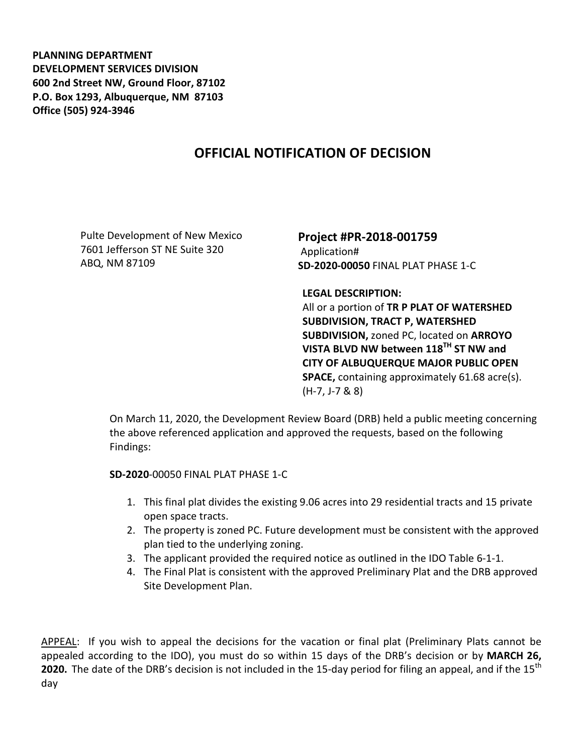**PLANNING DEPARTMENT DEVELOPMENT SERVICES DIVISION 600 2nd Street NW, Ground Floor, 87102 P.O. Box 1293, Albuquerque, NM 87103 Office (505) 924-3946** 

## **OFFICIAL NOTIFICATION OF DECISION**

Pulte Development of New Mexico 7601 Jefferson ST NE Suite 320 ABQ, NM 87109

**Project #PR-2018-001759**  Application# **SD-2020-00050** FINAL PLAT PHASE 1-C

**LEGAL DESCRIPTION:** 

All or a portion of **TR P PLAT OF WATERSHED SUBDIVISION, TRACT P, WATERSHED SUBDIVISION,** zoned PC, located on **ARROYO VISTA BLVD NW between 118TH ST NW and CITY OF ALBUQUERQUE MAJOR PUBLIC OPEN SPACE,** containing approximately 61.68 acre(s). (H-7, J-7 & 8)

On March 11, 2020, the Development Review Board (DRB) held a public meeting concerning the above referenced application and approved the requests, based on the following Findings:

**SD-2020**-00050 FINAL PLAT PHASE 1-C

- 1. This final plat divides the existing 9.06 acres into 29 residential tracts and 15 private open space tracts.
- 2. The property is zoned PC. Future development must be consistent with the approved plan tied to the underlying zoning.
- 3. The applicant provided the required notice as outlined in the IDO Table 6-1-1.
- 4. The Final Plat is consistent with the approved Preliminary Plat and the DRB approved Site Development Plan.

APPEAL: If you wish to appeal the decisions for the vacation or final plat (Preliminary Plats cannot be appealed according to the IDO), you must do so within 15 days of the DRB's decision or by **MARCH 26,** 2020. The date of the DRB's decision is not included in the 15-day period for filing an appeal, and if the 15<sup>th</sup> day